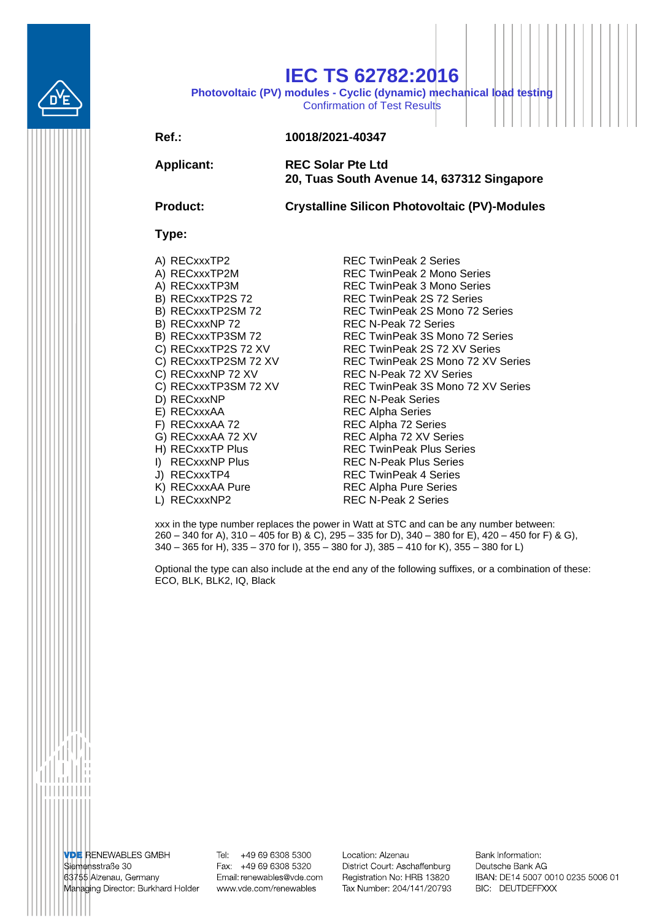

## **IEC TS 62782:2016**

**Photovoltaic (PV) modules - Cyclic (dynamic) mechanical load testing** Confirmation of Test Results

## **Ref.: 10018/2021-40347**

**Applicant: REC Solar Pte Ltd 20, Tuas South Avenue 14, 637312 Singapore**

**Product: Crystalline Silicon Photovoltaic (PV)-Modules**

## **Type:**

- 
- 
- 
- 
- 
- 
- 
- 
- 
- 
- 
- 
- 
- 
- 
- 
- 
- 
- 
- 
- A) RECxxxTP2 REC TwinPeak 2 Series A) RECxxxTP2M REC TwinPeak 2 Mono Series A) RECxxxTP3M REC TwinPeak 3 Mono Series B) RECxxxTP2S 72 REC TwinPeak 2S 72 Series B) RECxxxTP2SM 72 REC TwinPeak 2S Mono 72 Series B) RECxxxNP 72 REC N-Peak 72 Series B) RECxxxTP3SM 72 REC TwinPeak 3S Mono 72 Series C) RECxxxTP2S 72 XV REC TwinPeak 2S 72 XV Series C) RECxxxTP2SM 72 XV REC TwinPeak 2S Mono 72 XV Series C) RECxxxNP 72 XV REC N-Peak 72 XV Series C) RECxxxTP3SM 72 XV REC TwinPeak 3S Mono 72 XV Series<br>D) RECxxxNP REC N-Peak Series **REC N-Peak Series** E) RECxxxAA REC Alpha Series F) RECxxxAA 72 REC Alpha 72 Series<br>G) RECxxxAA 72 XV REC Alpha 72 XV Ser REC Alpha 72 XV Series H) RECxxxTP Plus REC TwinPeak Plus Series I) RECxxxNP Plus REC N-Peak Plus Series J) RECxxxTP4 REC TwinPeak 4 Series K) RECxxxAA Pure REC Alpha Pure Series L) RECxxxNP2 REC N-Peak 2 Series

xxx in the type number replaces the power in Watt at STC and can be any number between: 260 – 340 for A), 310 – 405 for B) & C), 295 – 335 for D), 340 – 380 for E), 420 – 450 for F) & G), 340 – 365 for H), 335 – 370 for I), 355 – 380 for J), 385 – 410 for K), 355 – 380 for L)

Optional the type can also include at the end any of the following suffixes, or a combination of these: ECO, BLK, BLK2, IQ, Black

**VDE RENEWABLES GMBH** Siemensstraße 30 63755 Alzenau, Germany Managing Director: Burkhard Holder

Tel: +49 69 6308 5300 Fax: +49 69 6308 5320 Email: renewables@vde.com www.vde.com/renewables

Location: Alzenau District Court: Aschaffenburg Registration No: HRB 13820 Tax Number: 204/141/20793 Bank Information: Deutsche Bank AG IBAN: DE14 5007 0010 0235 5006 01 BIC: DEUTDEFFXXX